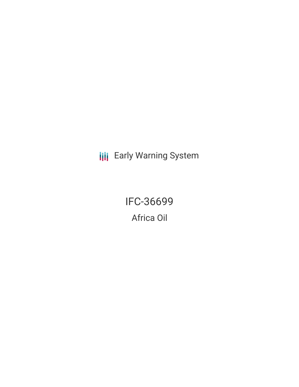**III** Early Warning System

IFC-36699 Africa Oil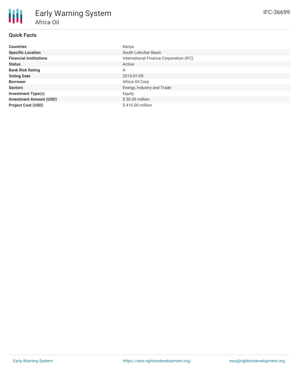# **Quick Facts**

| <b>Countries</b>               | Kenya                                   |
|--------------------------------|-----------------------------------------|
| <b>Specific Location</b>       | South Lokichar Basin                    |
| <b>Financial Institutions</b>  | International Finance Corporation (IFC) |
| <b>Status</b>                  | Active                                  |
| <b>Bank Risk Rating</b>        | A                                       |
| <b>Voting Date</b>             | 2015-07-09                              |
| <b>Borrower</b>                | Africa Oil Corp                         |
| <b>Sectors</b>                 | Energy, Industry and Trade              |
| <b>Investment Type(s)</b>      | Equity                                  |
| <b>Investment Amount (USD)</b> | $$50.00$ million                        |
| <b>Project Cost (USD)</b>      | \$410.00 million                        |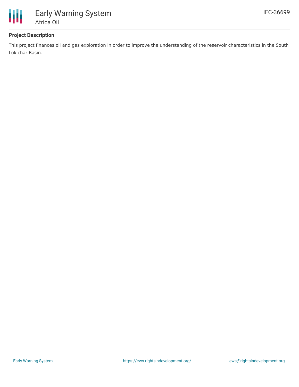

## **Project Description**

This project finances oil and gas exploration in order to improve the understanding of the reservoir characteristics in the South Lokichar Basin.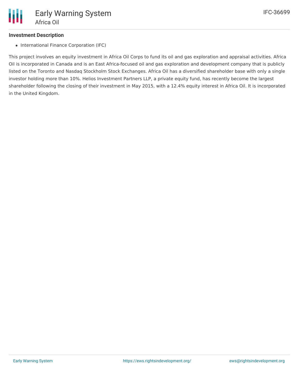## **Investment Description**

• International Finance Corporation (IFC)

This project involves an equity investment in Africa Oil Corps to fund its oil and gas exploration and appraisal activities. Africa Oil is incorporated in Canada and is an East Africa-focused oil and gas exploration and development company that is publicly listed on the Toronto and Nasdaq Stockholm Stock Exchanges. Africa Oil has a diversified shareholder base with only a single investor holding more than 10%. Helios Investment Partners LLP, a private equity fund, has recently become the largest shareholder following the closing of their investment in May 2015, with a 12.4% equity interest in Africa Oil. It is incorporated in the United Kingdom.